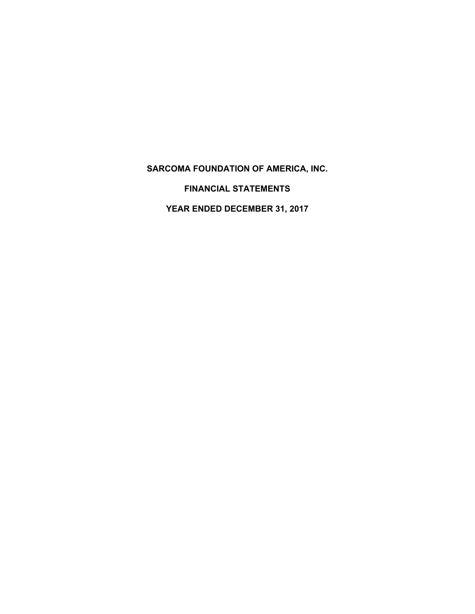**FINANCIAL STATEMENTS** 

 **YEAR ENDED DECEMBER 31, 2017**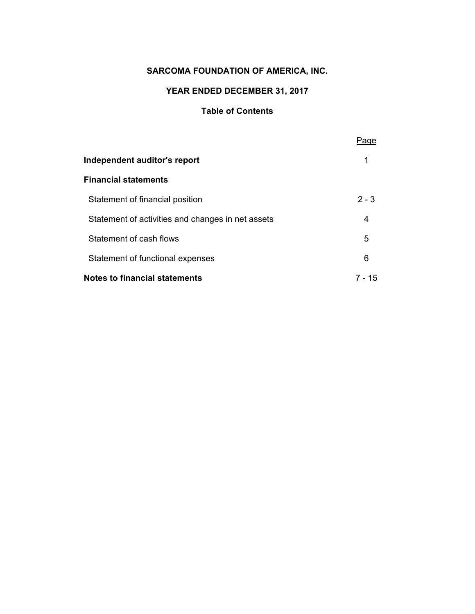# **YEAR ENDED DECEMBER 31, 2017**

# **Table of Contents**

|                                                   | Page    |
|---------------------------------------------------|---------|
| Independent auditor's report                      | 1       |
| <b>Financial statements</b>                       |         |
| Statement of financial position                   | $2 - 3$ |
| Statement of activities and changes in net assets | 4       |
| Statement of cash flows                           | 5       |
| Statement of functional expenses                  | 6       |
| <b>Notes to financial statements</b>              | 7 - 15  |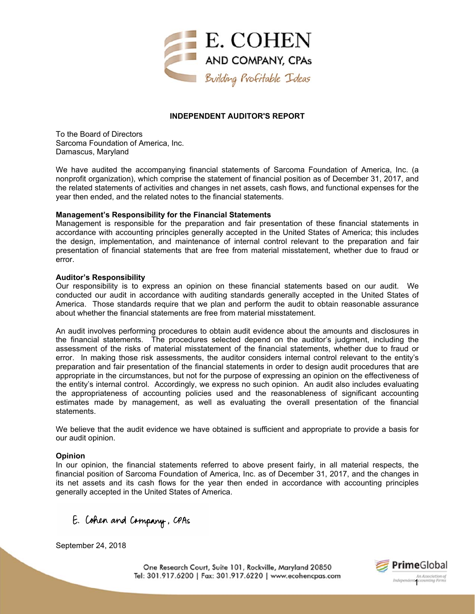

#### **INDEPENDENT AUDITOR'S REPORT**

To the Board of Directors Sarcoma Foundation of America, Inc. Damascus, Maryland

We have audited the accompanying financial statements of Sarcoma Foundation of America, Inc. (a nonprofit organization), which comprise the statement of financial position as of December 31, 2017, and the related statements of activities and changes in net assets, cash flows, and functional expenses for the year then ended, and the related notes to the financial statements.

#### **Management's Responsibility for the Financial Statements**

Management is responsible for the preparation and fair presentation of these financial statements in accordance with accounting principles generally accepted in the United States of America; this includes the design, implementation, and maintenance of internal control relevant to the preparation and fair presentation of financial statements that are free from material misstatement, whether due to fraud or error.

#### **Auditor's Responsibility**

Our responsibility is to express an opinion on these financial statements based on our audit. We conducted our audit in accordance with auditing standards generally accepted in the United States of America. Those standards require that we plan and perform the audit to obtain reasonable assurance about whether the financial statements are free from material misstatement.

An audit involves performing procedures to obtain audit evidence about the amounts and disclosures in the financial statements. The procedures selected depend on the auditor's judgment, including the assessment of the risks of material misstatement of the financial statements, whether due to fraud or error. In making those risk assessments, the auditor considers internal control relevant to the entity's preparation and fair presentation of the financial statements in order to design audit procedures that are appropriate in the circumstances, but not for the purpose of expressing an opinion on the effectiveness of the entity's internal control. Accordingly, we express no such opinion. An audit also includes evaluating the appropriateness of accounting policies used and the reasonableness of significant accounting estimates made by management, as well as evaluating the overall presentation of the financial statements.

We believe that the audit evidence we have obtained is sufficient and appropriate to provide a basis for our audit opinion.

#### **Opinion**

In our opinion, the financial statements referred to above present fairly, in all material respects, the financial position of Sarcoma Foundation of America, Inc. as of December 31, 2017, and the changes in its net assets and its cash flows for the year then ended in accordance with accounting principles generally accepted in the United States of America.

E. Cohen and Company, CPAs

September 24, 2018

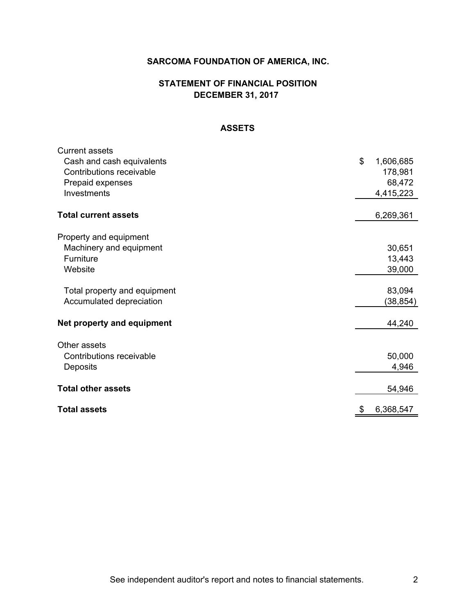### **STATEMENT OF FINANCIAL POSITION DECEMBER 31, 2017**

#### **ASSETS**

| <b>Current assets</b><br>Cash and cash equivalents | \$<br>1,606,685 |
|----------------------------------------------------|-----------------|
| Contributions receivable                           | 178,981         |
| Prepaid expenses                                   | 68,472          |
| Investments                                        |                 |
|                                                    | 4,415,223       |
| <b>Total current assets</b>                        | 6,269,361       |
| Property and equipment                             |                 |
| Machinery and equipment                            | 30,651          |
| Furniture                                          | 13,443          |
| Website                                            | 39,000          |
|                                                    |                 |
| Total property and equipment                       | 83,094          |
| Accumulated depreciation                           | (38, 854)       |
| Net property and equipment                         | 44,240          |
| Other assets                                       |                 |
| Contributions receivable                           | 50,000          |
| Deposits                                           | 4,946           |
|                                                    |                 |
| <b>Total other assets</b>                          | 54,946          |
| <b>Total assets</b>                                | \$<br>6,368,547 |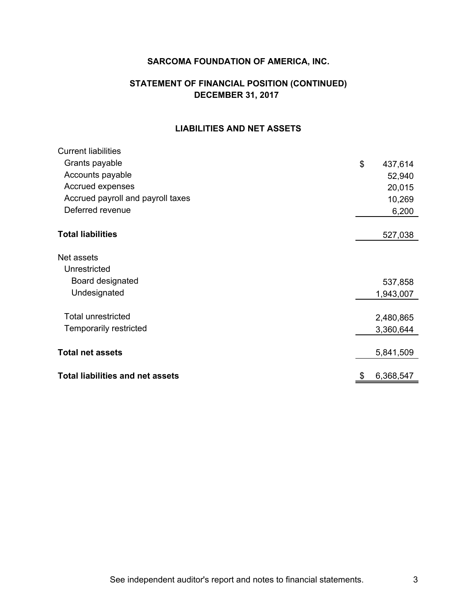# **STATEMENT OF FINANCIAL POSITION (CONTINUED) DECEMBER 31, 2017**

### **LIABILITIES AND NET ASSETS**

| <b>Total liabilities and net assets</b> | 6,368,547     |
|-----------------------------------------|---------------|
| <b>Total net assets</b>                 | 5,841,509     |
| <b>Temporarily restricted</b>           | 3,360,644     |
| <b>Total unrestricted</b>               | 2,480,865     |
|                                         |               |
| Undesignated                            | 1,943,007     |
| Board designated                        | 537,858       |
| Unrestricted                            |               |
| Net assets                              |               |
| <b>Total liabilities</b>                | 527,038       |
| Deferred revenue                        | 6,200         |
| Accrued payroll and payroll taxes       | 10,269        |
| Accrued expenses                        | 20,015        |
| Accounts payable                        | 52,940        |
| Grants payable                          | \$<br>437,614 |
| <b>Current liabilities</b>              |               |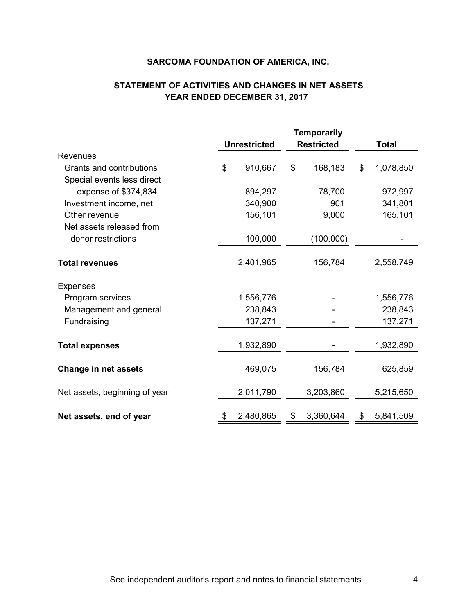# **STATEMENT OF ACTIVITIES AND CHANGES IN NET ASSETS YEAR ENDED DECEMBER 31, 2017**

|                               | <b>Unrestricted</b> |           |    | <b>Restricted</b> |    | <b>Total</b> |
|-------------------------------|---------------------|-----------|----|-------------------|----|--------------|
| <b>Revenues</b>               |                     |           |    |                   |    |              |
| Grants and contributions      | \$                  | 910,667   | \$ | 168,183           | \$ | 1,078,850    |
| Special events less direct    |                     |           |    |                   |    |              |
| expense of \$374,834          |                     | 894,297   |    | 78,700            |    | 972,997      |
| Investment income, net        |                     | 340,900   |    | 901               |    | 341,801      |
| Other revenue                 |                     | 156,101   |    | 9,000             |    | 165,101      |
| Net assets released from      |                     |           |    |                   |    |              |
| donor restrictions            |                     | 100,000   |    | (100,000)         |    |              |
|                               |                     |           |    |                   |    |              |
| <b>Total revenues</b>         |                     | 2,401,965 |    | 156,784           |    | 2,558,749    |
| <b>Expenses</b>               |                     |           |    |                   |    |              |
| Program services              |                     | 1,556,776 |    |                   |    | 1,556,776    |
| Management and general        |                     | 238,843   |    |                   |    | 238,843      |
| Fundraising                   |                     | 137,271   |    |                   |    | 137,271      |
|                               |                     |           |    |                   |    |              |
| <b>Total expenses</b>         |                     | 1,932,890 |    |                   |    | 1,932,890    |
| <b>Change in net assets</b>   |                     | 469,075   |    | 156,784           |    | 625,859      |
| Net assets, beginning of year |                     | 2,011,790 |    | 3,203,860         |    | 5,215,650    |
| Net assets, end of year       | \$                  | 2,480,865 | \$ | 3,360,644         | \$ | 5,841,509    |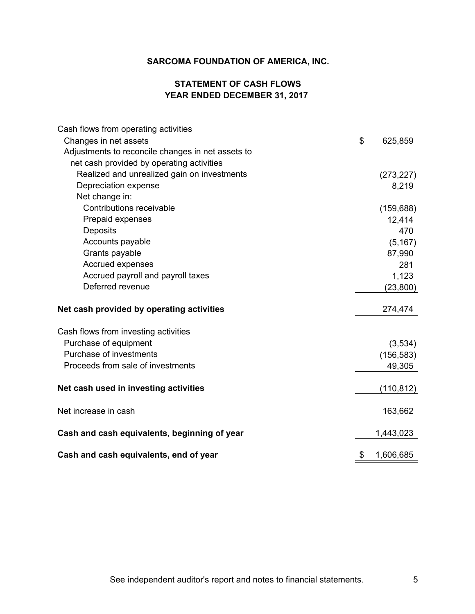# **STATEMENT OF CASH FLOWS YEAR ENDED DECEMBER 31, 2017**

| Cash flows from operating activities              |                 |
|---------------------------------------------------|-----------------|
| Changes in net assets                             | \$<br>625,859   |
| Adjustments to reconcile changes in net assets to |                 |
| net cash provided by operating activities         |                 |
| Realized and unrealized gain on investments       | (273, 227)      |
| Depreciation expense                              | 8,219           |
| Net change in:                                    |                 |
| Contributions receivable                          | (159, 688)      |
| Prepaid expenses                                  | 12,414          |
| Deposits                                          | 470             |
| Accounts payable                                  | (5, 167)        |
| Grants payable                                    | 87,990          |
| <b>Accrued expenses</b>                           | 281             |
| Accrued payroll and payroll taxes                 | 1,123           |
| Deferred revenue                                  | (23, 800)       |
| Net cash provided by operating activities         | 274,474         |
| Cash flows from investing activities              |                 |
| Purchase of equipment                             | (3,534)         |
| Purchase of investments                           | (156, 583)      |
| Proceeds from sale of investments                 | 49,305          |
| Net cash used in investing activities             | (110, 812)      |
| Net increase in cash                              | 163,662         |
| Cash and cash equivalents, beginning of year      | 1,443,023       |
| Cash and cash equivalents, end of year            | \$<br>1,606,685 |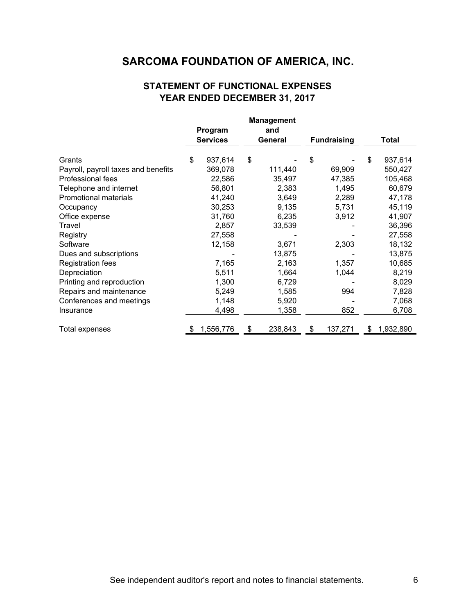# **STATEMENT OF FUNCTIONAL EXPENSES YEAR ENDED DECEMBER 31, 2017**

|                                     |                 | <b>Management</b> |                    |         |       |           |
|-------------------------------------|-----------------|-------------------|--------------------|---------|-------|-----------|
|                                     | Program         | and               |                    |         |       |           |
|                                     | <b>Services</b> | General           | <b>Fundraising</b> |         | Total |           |
| Grants                              | \$<br>937,614   | \$                | \$                 |         | \$    | 937,614   |
| Payroll, payroll taxes and benefits | 369,078         | 111,440           |                    | 69,909  |       | 550,427   |
| Professional fees                   | 22,586          | 35,497            |                    | 47,385  |       | 105,468   |
| Telephone and internet              | 56,801          | 2,383             |                    | 1,495   |       | 60,679    |
| <b>Promotional materials</b>        | 41,240          | 3,649             |                    | 2,289   |       | 47,178    |
| Occupancy                           | 30,253          | 9,135             |                    | 5,731   |       | 45,119    |
| Office expense                      | 31,760          | 6,235             |                    | 3,912   |       | 41,907    |
| Travel                              | 2,857           | 33,539            |                    |         |       | 36,396    |
| Registry                            | 27,558          |                   |                    |         |       | 27,558    |
| Software                            | 12,158          | 3,671             |                    | 2,303   |       | 18,132    |
| Dues and subscriptions              |                 | 13,875            |                    |         |       | 13,875    |
| <b>Registration fees</b>            | 7,165           | 2,163             |                    | 1,357   |       | 10,685    |
| Depreciation                        | 5,511           | 1,664             |                    | 1,044   |       | 8,219     |
| Printing and reproduction           | 1,300           | 6,729             |                    |         |       | 8,029     |
| Repairs and maintenance             | 5,249           | 1,585             |                    | 994     |       | 7,828     |
| Conferences and meetings            | 1,148           | 5,920             |                    |         |       | 7,068     |
| Insurance                           | 4,498           | 1,358             |                    | 852     |       | 6,708     |
| Total expenses                      | 1,556,776       | \$<br>238,843     | S                  | 137,271 | \$    | 1,932,890 |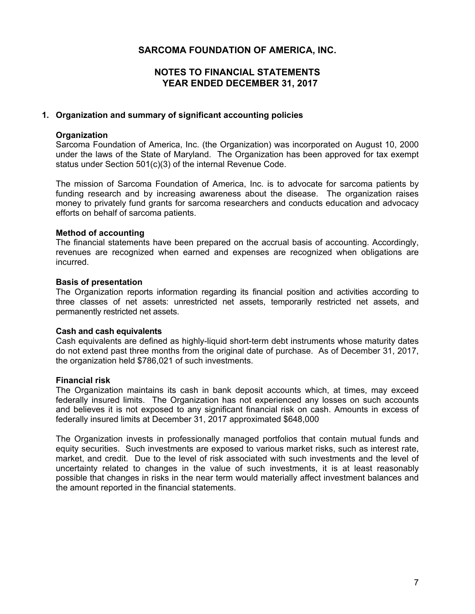# **NOTES TO FINANCIAL STATEMENTS YEAR ENDED DECEMBER 31, 2017**

### **1. Organization and summary of significant accounting policies**

#### **Organization**

Sarcoma Foundation of America, Inc. (the Organization) was incorporated on August 10, 2000 under the laws of the State of Maryland. The Organization has been approved for tax exempt status under Section 501(c)(3) of the internal Revenue Code.

The mission of Sarcoma Foundation of America, Inc. is to advocate for sarcoma patients by funding research and by increasing awareness about the disease. The organization raises money to privately fund grants for sarcoma researchers and conducts education and advocacy efforts on behalf of sarcoma patients.

#### **Method of accounting**

The financial statements have been prepared on the accrual basis of accounting. Accordingly, revenues are recognized when earned and expenses are recognized when obligations are incurred.

#### **Basis of presentation**

The Organization reports information regarding its financial position and activities according to three classes of net assets: unrestricted net assets, temporarily restricted net assets, and permanently restricted net assets.

#### **Cash and cash equivalents**

Cash equivalents are defined as highly-liquid short-term debt instruments whose maturity dates do not extend past three months from the original date of purchase. As of December 31, 2017, the organization held \$786,021 of such investments.

#### **Financial risk**

The Organization maintains its cash in bank deposit accounts which, at times, may exceed federally insured limits. The Organization has not experienced any losses on such accounts and believes it is not exposed to any significant financial risk on cash. Amounts in excess of federally insured limits at December 31, 2017 approximated \$648,000

The Organization invests in professionally managed portfolios that contain mutual funds and equity securities. Such investments are exposed to various market risks, such as interest rate, market, and credit. Due to the level of risk associated with such investments and the level of uncertainty related to changes in the value of such investments, it is at least reasonably possible that changes in risks in the near term would materially affect investment balances and the amount reported in the financial statements.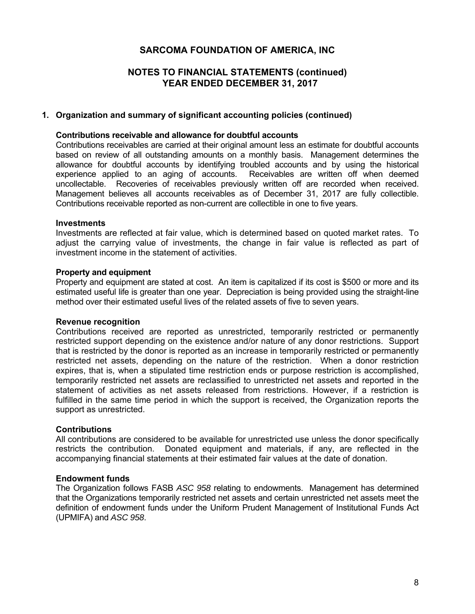# **NOTES TO FINANCIAL STATEMENTS (continued) YEAR ENDED DECEMBER 31, 2017**

#### **1. Organization and summary of significant accounting policies (continued)**

#### **Contributions receivable and allowance for doubtful accounts**

Contributions receivables are carried at their original amount less an estimate for doubtful accounts based on review of all outstanding amounts on a monthly basis. Management determines the allowance for doubtful accounts by identifying troubled accounts and by using the historical experience applied to an aging of accounts. Receivables are written off when deemed uncollectable. Recoveries of receivables previously written off are recorded when received. Management believes all accounts receivables as of December 31, 2017 are fully collectible. Contributions receivable reported as non-current are collectible in one to five years.

#### **Investments**

Investments are reflected at fair value, which is determined based on quoted market rates. To adjust the carrying value of investments, the change in fair value is reflected as part of investment income in the statement of activities.

#### **Property and equipment**

Property and equipment are stated at cost. An item is capitalized if its cost is \$500 or more and its estimated useful life is greater than one year. Depreciation is being provided using the straight-line method over their estimated useful lives of the related assets of five to seven years.

#### **Revenue recognition**

Contributions received are reported as unrestricted, temporarily restricted or permanently restricted support depending on the existence and/or nature of any donor restrictions. Support that is restricted by the donor is reported as an increase in temporarily restricted or permanently restricted net assets, depending on the nature of the restriction. When a donor restriction expires, that is, when a stipulated time restriction ends or purpose restriction is accomplished, temporarily restricted net assets are reclassified to unrestricted net assets and reported in the statement of activities as net assets released from restrictions. However, if a restriction is fulfilled in the same time period in which the support is received, the Organization reports the support as unrestricted.

#### **Contributions**

All contributions are considered to be available for unrestricted use unless the donor specifically restricts the contribution. Donated equipment and materials, if any, are reflected in the accompanying financial statements at their estimated fair values at the date of donation.

#### **Endowment funds**

The Organization follows FASB *ASC 958* relating to endowments. Management has determined that the Organizations temporarily restricted net assets and certain unrestricted net assets meet the definition of endowment funds under the Uniform Prudent Management of Institutional Funds Act (UPMIFA) and *ASC 958*.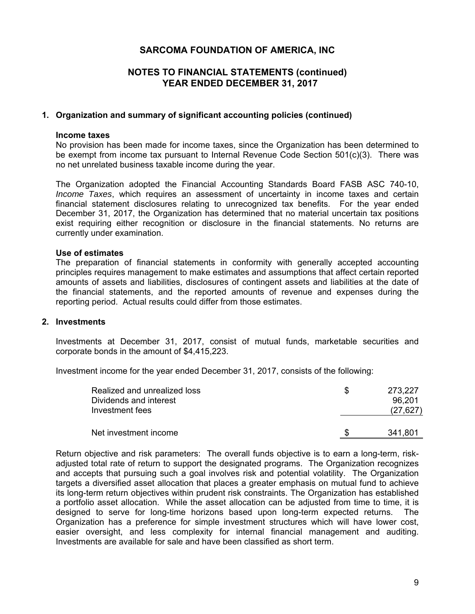# **NOTES TO FINANCIAL STATEMENTS (continued) YEAR ENDED DECEMBER 31, 2017**

#### **1. Organization and summary of significant accounting policies (continued)**

#### **Income taxes**

No provision has been made for income taxes, since the Organization has been determined to be exempt from income tax pursuant to Internal Revenue Code Section  $501(c)(3)$ . There was no net unrelated business taxable income during the year.

The Organization adopted the Financial Accounting Standards Board FASB ASC 740-10, *Income Taxes*, which requires an assessment of uncertainty in income taxes and certain financial statement disclosures relating to unrecognized tax benefits. For the year ended December 31, 2017, the Organization has determined that no material uncertain tax positions exist requiring either recognition or disclosure in the financial statements. No returns are currently under examination.

#### **Use of estimates**

The preparation of financial statements in conformity with generally accepted accounting principles requires management to make estimates and assumptions that affect certain reported amounts of assets and liabilities, disclosures of contingent assets and liabilities at the date of the financial statements, and the reported amounts of revenue and expenses during the reporting period. Actual results could differ from those estimates.

#### **2. Investments**

Investments at December 31, 2017, consist of mutual funds, marketable securities and corporate bonds in the amount of \$4,415,223.

Investment income for the year ended December 31, 2017, consists of the following:

| Realized and unrealized loss<br>Dividends and interest<br>Investment fees | 273,227<br>96.201<br>(27, 627) |
|---------------------------------------------------------------------------|--------------------------------|
| Net investment income                                                     | 341,801                        |

Return objective and risk parameters: The overall funds objective is to earn a long-term, riskadjusted total rate of return to support the designated programs. The Organization recognizes and accepts that pursuing such a goal involves risk and potential volatility. The Organization targets a diversified asset allocation that places a greater emphasis on mutual fund to achieve its long-term return objectives within prudent risk constraints. The Organization has established a portfolio asset allocation. While the asset allocation can be adjusted from time to time, it is designed to serve for long-time horizons based upon long-term expected returns. The Organization has a preference for simple investment structures which will have lower cost, easier oversight, and less complexity for internal financial management and auditing. Investments are available for sale and have been classified as short term.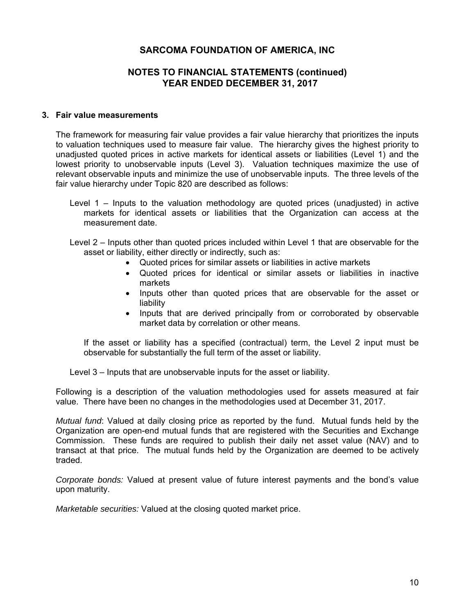# **NOTES TO FINANCIAL STATEMENTS (continued) YEAR ENDED DECEMBER 31, 2017**

#### **3. Fair value measurements**

The framework for measuring fair value provides a fair value hierarchy that prioritizes the inputs to valuation techniques used to measure fair value. The hierarchy gives the highest priority to unadjusted quoted prices in active markets for identical assets or liabilities (Level 1) and the lowest priority to unobservable inputs (Level 3). Valuation techniques maximize the use of relevant observable inputs and minimize the use of unobservable inputs. The three levels of the fair value hierarchy under Topic 820 are described as follows:

- Level 1 Inputs to the valuation methodology are quoted prices (unadjusted) in active markets for identical assets or liabilities that the Organization can access at the measurement date.
- Level 2 Inputs other than quoted prices included within Level 1 that are observable for the asset or liability, either directly or indirectly, such as:
	- Quoted prices for similar assets or liabilities in active markets
	- Quoted prices for identical or similar assets or liabilities in inactive markets
	- Inputs other than quoted prices that are observable for the asset or liability
	- Inputs that are derived principally from or corroborated by observable market data by correlation or other means.

If the asset or liability has a specified (contractual) term, the Level 2 input must be observable for substantially the full term of the asset or liability.

Level 3 – Inputs that are unobservable inputs for the asset or liability.

Following is a description of the valuation methodologies used for assets measured at fair value. There have been no changes in the methodologies used at December 31, 2017.

*Mutual fund*: Valued at daily closing price as reported by the fund. Mutual funds held by the Organization are open-end mutual funds that are registered with the Securities and Exchange Commission. These funds are required to publish their daily net asset value (NAV) and to transact at that price. The mutual funds held by the Organization are deemed to be actively traded.

*Corporate bonds:* Valued at present value of future interest payments and the bond's value upon maturity.

*Marketable securities:* Valued at the closing quoted market price.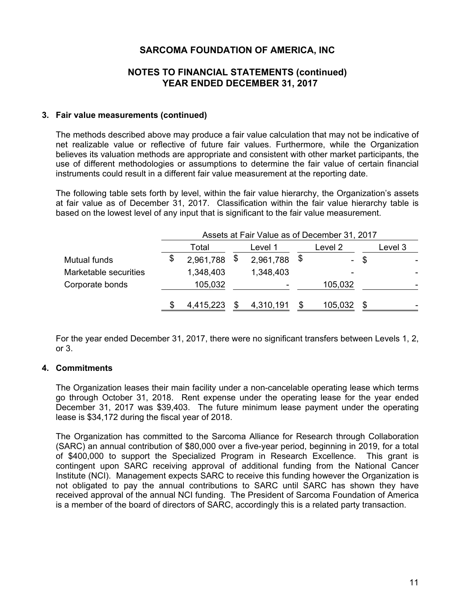# **NOTES TO FINANCIAL STATEMENTS (continued) YEAR ENDED DECEMBER 31, 2017**

#### **3. Fair value measurements (continued)**

The methods described above may produce a fair value calculation that may not be indicative of net realizable value or reflective of future fair values. Furthermore, while the Organization believes its valuation methods are appropriate and consistent with other market participants, the use of different methodologies or assumptions to determine the fair value of certain financial instruments could result in a different fair value measurement at the reporting date.

The following table sets forth by level, within the fair value hierarchy, the Organization's assets at fair value as of December 31, 2017. Classification within the fair value hierarchy table is based on the lowest level of any input that is significant to the fair value measurement.

|                       | Assets at Fair Value as of December 31, 2017 |  |           |    |         |      |         |  |  |
|-----------------------|----------------------------------------------|--|-----------|----|---------|------|---------|--|--|
|                       | Total                                        |  | Level 1   |    | Level 2 |      | Level 3 |  |  |
| Mutual funds          | \$<br>$2,961,788$ \$                         |  | 2,961,788 | \$ |         | - \$ |         |  |  |
| Marketable securities | 1,348,403                                    |  | 1,348,403 |    |         |      |         |  |  |
| Corporate bonds       | 105,032                                      |  |           |    | 105,032 |      |         |  |  |
|                       | 4,415,223                                    |  | 4,310,191 |    | 105,032 |      |         |  |  |

For the year ended December 31, 2017, there were no significant transfers between Levels 1, 2, or 3.

### **4. Commitments**

The Organization leases their main facility under a non-cancelable operating lease which terms go through October 31, 2018. Rent expense under the operating lease for the year ended December 31, 2017 was \$39,403. The future minimum lease payment under the operating lease is \$34,172 during the fiscal year of 2018.

The Organization has committed to the Sarcoma Alliance for Research through Collaboration (SARC) an annual contribution of \$80,000 over a five-year period, beginning in 2019, for a total of \$400,000 to support the Specialized Program in Research Excellence. This grant is contingent upon SARC receiving approval of additional funding from the National Cancer Institute (NCI). Management expects SARC to receive this funding however the Organization is not obligated to pay the annual contributions to SARC until SARC has shown they have received approval of the annual NCI funding. The President of Sarcoma Foundation of America is a member of the board of directors of SARC, accordingly this is a related party transaction.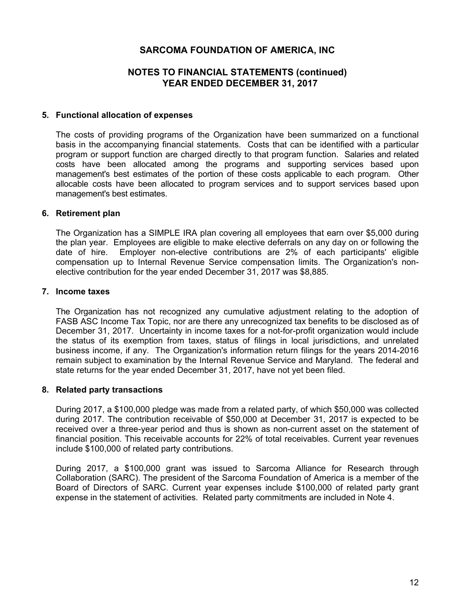# **NOTES TO FINANCIAL STATEMENTS (continued) YEAR ENDED DECEMBER 31, 2017**

#### **5. Functional allocation of expenses**

The costs of providing programs of the Organization have been summarized on a functional basis in the accompanying financial statements. Costs that can be identified with a particular program or support function are charged directly to that program function. Salaries and related costs have been allocated among the programs and supporting services based upon management's best estimates of the portion of these costs applicable to each program. Other allocable costs have been allocated to program services and to support services based upon management's best estimates.

#### **6. Retirement plan**

The Organization has a SIMPLE IRA plan covering all employees that earn over \$5,000 during the plan year. Employees are eligible to make elective deferrals on any day on or following the date of hire. Employer non-elective contributions are 2% of each participants' eligible compensation up to Internal Revenue Service compensation limits. The Organization's nonelective contribution for the year ended December 31, 2017 was \$8,885.

#### **7. Income taxes**

The Organization has not recognized any cumulative adjustment relating to the adoption of FASB ASC Income Tax Topic, nor are there any unrecognized tax benefits to be disclosed as of December 31, 2017. Uncertainty in income taxes for a not-for-profit organization would include the status of its exemption from taxes, status of filings in local jurisdictions, and unrelated business income, if any. The Organization's information return filings for the years 2014-2016 remain subject to examination by the Internal Revenue Service and Maryland. The federal and state returns for the year ended December 31, 2017, have not yet been filed.

### **8. Related party transactions**

During 2017, a \$100,000 pledge was made from a related party, of which \$50,000 was collected during 2017. The contribution receivable of \$50,000 at December 31, 2017 is expected to be received over a three-year period and thus is shown as non-current asset on the statement of financial position. This receivable accounts for 22% of total receivables. Current year revenues include \$100,000 of related party contributions.

During 2017, a \$100,000 grant was issued to Sarcoma Alliance for Research through Collaboration (SARC). The president of the Sarcoma Foundation of America is a member of the Board of Directors of SARC. Current year expenses include \$100,000 of related party grant expense in the statement of activities. Related party commitments are included in Note 4.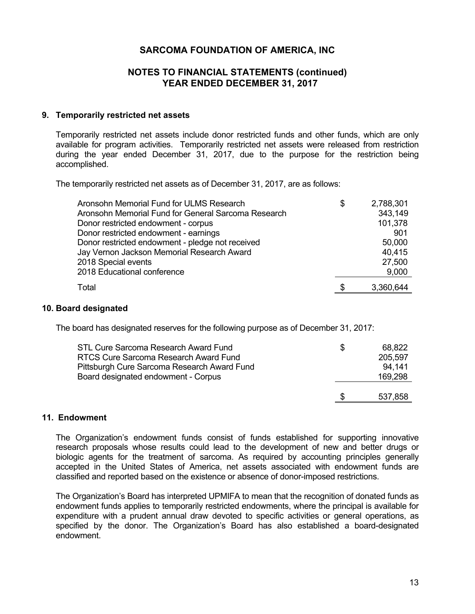# **NOTES TO FINANCIAL STATEMENTS (continued) YEAR ENDED DECEMBER 31, 2017**

#### **9. Temporarily restricted net assets**

Temporarily restricted net assets include donor restricted funds and other funds, which are only available for program activities. Temporarily restricted net assets were released from restriction during the year ended December 31, 2017, due to the purpose for the restriction being accomplished.

The temporarily restricted net assets as of December 31, 2017, are as follows:

| Aronsohn Memorial Fund for ULMS Research            | S | 2,788,301 |
|-----------------------------------------------------|---|-----------|
| Aronsohn Memorial Fund for General Sarcoma Research |   | 343,149   |
| Donor restricted endowment - corpus                 |   | 101,378   |
| Donor restricted endowment - earnings               |   | 901       |
| Donor restricted endowment - pledge not received    |   | 50,000    |
| Jay Vernon Jackson Memorial Research Award          |   | 40,415    |
| 2018 Special events                                 |   | 27,500    |
| 2018 Educational conference                         |   | 9,000     |
| Total                                               | S | 3,360,644 |

#### **10. Board designated**

The board has designated reserves for the following purpose as of December 31, 2017:

| STL Cure Sarcoma Research Award Fund        | S   | 68,822  |
|---------------------------------------------|-----|---------|
| RTCS Cure Sarcoma Research Award Fund       |     | 205,597 |
| Pittsburgh Cure Sarcoma Research Award Fund |     | 94.141  |
| Board designated endowment - Corpus         |     | 169,298 |
|                                             |     |         |
|                                             | \$. | 537,858 |

### **11. Endowment**

The Organization's endowment funds consist of funds established for supporting innovative research proposals whose results could lead to the development of new and better drugs or biologic agents for the treatment of sarcoma. As required by accounting principles generally accepted in the United States of America, net assets associated with endowment funds are classified and reported based on the existence or absence of donor-imposed restrictions.

The Organization's Board has interpreted UPMIFA to mean that the recognition of donated funds as endowment funds applies to temporarily restricted endowments, where the principal is available for expenditure with a prudent annual draw devoted to specific activities or general operations, as specified by the donor. The Organization's Board has also established a board-designated endowment.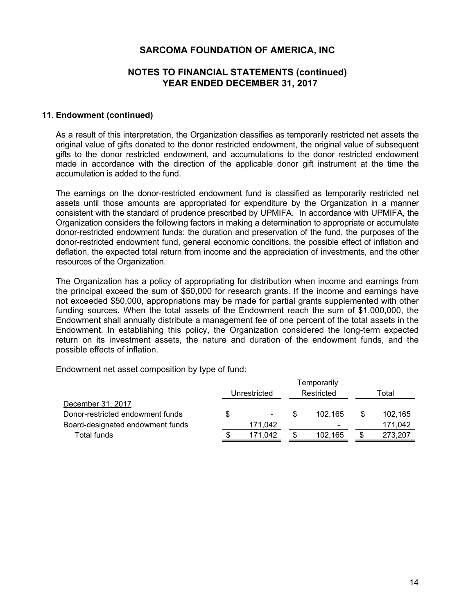### **NOTES TO FINANCIAL STATEMENTS (continued) YEAR ENDED DECEMBER 31, 2017**

#### **11. Endowment (continued)**

As a result of this interpretation, the Organization classifies as temporarily restricted net assets the original value of gifts donated to the donor restricted endowment, the original value of subsequent gifts to the donor restricted endowment, and accumulations to the donor restricted endowment made in accordance with the direction of the applicable donor gift instrument at the time the accumulation is added to the fund.

The earnings on the donor-restricted endowment fund is classified as temporarily restricted net assets until those amounts are appropriated for expenditure by the Organization in a manner consistent with the standard of prudence prescribed by UPMIFA. In accordance with UPMIFA, the Organization considers the following factors in making a determination to appropriate or accumulate donor-restricted endowment funds: the duration and preservation of the fund, the purposes of the donor-restricted endowment fund, general economic conditions, the possible effect of inflation and deflation, the expected total return from income and the appreciation of investments, and the other resources of the Organization.

The Organization has a policy of appropriating for distribution when income and earnings from the principal exceed the sum of \$50,000 for research grants. If the income and earnings have not exceeded \$50,000, appropriations may be made for partial grants supplemented with other funding sources. When the total assets of the Endowment reach the sum of \$1,000,000, the Endowment shall annually distribute a management fee of one percent of the total assets in the Endowment. In establishing this policy, the Organization considered the long-term expected return on its investment assets, the nature and duration of the endowment funds, and the possible effects of inflation.

Endowment net asset composition by type of fund:

|                                  | Temporarily  |         |  |            |  |         |  |  |
|----------------------------------|--------------|---------|--|------------|--|---------|--|--|
|                                  | Unrestricted |         |  | Restricted |  | Total   |  |  |
| December 31, 2017                |              |         |  |            |  |         |  |  |
| Donor-restricted endowment funds | \$           | ٠       |  | 102.165    |  | 102,165 |  |  |
| Board-designated endowment funds |              | 171.042 |  | -          |  | 171.042 |  |  |
| Total funds                      |              | 171.042 |  | 102.165    |  | 273.207 |  |  |